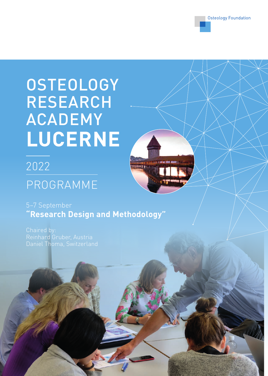

# **OSTEOLOGY** RESEARCH ACADEMY **LUCERNE**

## 2022 PROGRAMME



5–7 September **"Research Design and Methodology"**

Chaired by: Reinhard Gruber, Austria Daniel Thoma, Switzerland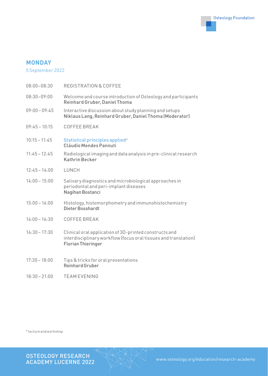

#### **MONDAY**

5 September 2022

| $08:00 - 08:30$ | <b>REGISTRATION &amp; COFFEE</b>                                                                                                                       |
|-----------------|--------------------------------------------------------------------------------------------------------------------------------------------------------|
| $08:30 - 09:00$ | Welcome and course introduction of Osteology and participants<br>Reinhard Gruber, Daniel Thoma                                                         |
| $09:00 - 09:45$ | Interactive discussion about study planning and setups<br>Niklaus Lang, Reinhard Gruber, Daniel Thoma (Moderator)                                      |
| $09:45 - 10:15$ | COFFEE BREAK                                                                                                                                           |
| $10:15 - 11:45$ | Statistical principles applied*<br><b>Cláudio Mendes Pannuti</b>                                                                                       |
| $11:45 - 12:45$ | Radiological imaging and data analysis in pre-clinical research<br><b>Kathrin Becker</b>                                                               |
| $12:45 - 14:00$ | LUNCH                                                                                                                                                  |
| $14:00 - 15:00$ | Salivary diagnostics and microbiological approaches in<br>periodontal and peri-implant diseases<br>Nagihan Bostanci                                    |
| $15:00 - 16:00$ | Histology, histomorphometry and immunohistochemistry<br>Dieter Bosshardt                                                                               |
| $16:00 - 16:30$ | COFFEE BREAK                                                                                                                                           |
| $16:30 - 17:30$ | Clinical oral application of 3D-printed constructs and<br>interdisciplinary workflow (focus oral tissues and translation)<br><b>Florian Thieringer</b> |
| $17:30 - 18:00$ | Tips & tricks for oral presentations<br><b>Reinhard Gruber</b>                                                                                         |

18:30 – 21:00 TEAM EVENING

\* lecture and workshop

OSTEOLOGY RESEARCH ACADEMY LUCERNE 2022 www.osteology.org/education/research-academy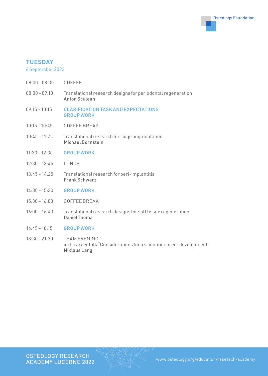

#### **TUESDAY**

#### 6 September 2022

- 08:00 08:30 COFFEE
- 08:30 09:10 Translational research designs for periodontal regeneration Anton Sculean
- 09:15 10:15 CLARIFICATION TASK AND EXPECTATIONS GROUP WORK
- 10:15 10:45 COFFEE BREAK
- 10:45 11:25 Translational research for ridge augmentation Michael Bornstein
- 11:30 12:30 GROUP WORK
- 12:30 13:45 LUNCH
- 13:45 14:25 Translational research for peri-implantitis Frank Schwarz
- 14:30 15:30 GROUP WORK
- 15:30 16:00 COFFEE BREAK
- 16:00 16:40 Translational research designs for soft tissue regeneration Daniel Thoma
- 16:45 18:15 GROUP WORK
- 18:30 21:30 TEAM EVENING incl. career talk "Considerations for a scientific career development" Niklaus Lang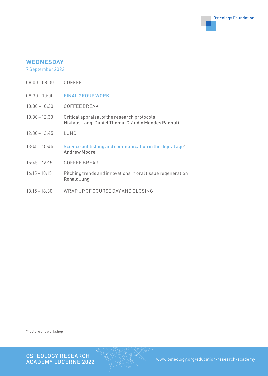

#### **WEDNESDAY**

7 September 2022

- 08:00 08:30 COFFEE
- 08:30 10:00 **FINAL GROUP WORK**
- 10:00 10:30 COFFEE BREAK
- 10:30 12:30 Critical appraisal of the research protocols Niklaus Lang, Daniel Thoma, Cláudio Mendes Pannuti
- 12:30 13:45 LUNCH
- 13:45 15:45 Science publishing and communication in the digital age\* Andrew Moore
- 15:45 16:15 COFFEE BREAK
- 16:15 18:15 Pitching trends and innovations in oral tissue regeneration Ronald Jung
- 18:15 18:30 WRAP UP OF COURSE DAY AND CLOSING

\* lecture and workshop

OSTEOLOGY RESEARCH<br>ACADEMY LUCERNE 2022